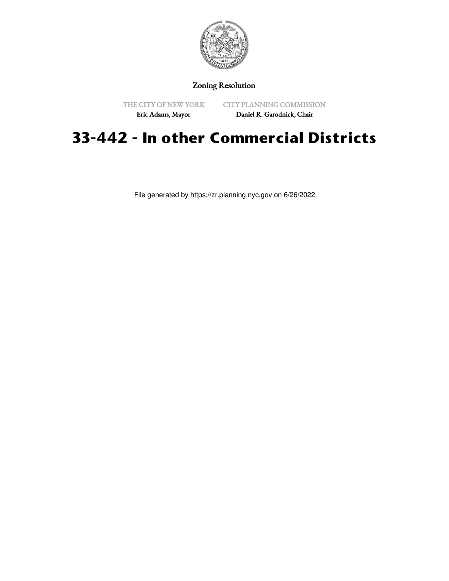

### Zoning Resolution

THE CITY OF NEW YORK Eric Adams, Mayor

CITY PLANNING COMMISSION

Daniel R. Garodnick, Chair

# **33-442 - In other Commercial Districts**

File generated by https://zr.planning.nyc.gov on 6/26/2022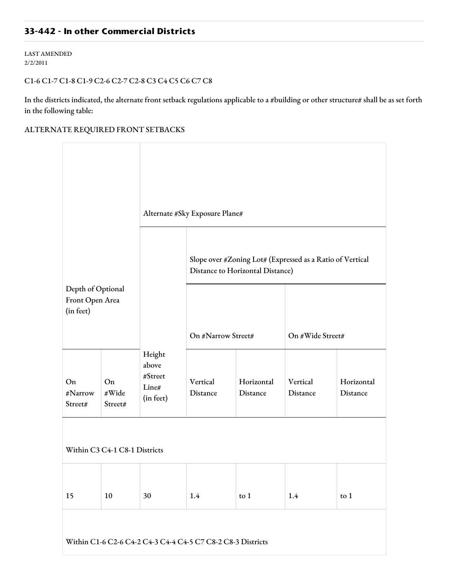## **33-442 - In other Commercial Districts**

LAST AMENDED 2/2/2011

#### C1-6 C1-7 C1-8 C1-9 C2-6 C2-7 C2-8 C3 C4 C5 C6 C7 C8

In the districts indicated, the alternate front setback regulations applicable to a #building or other structure# shall be as set forth in the following table:

#### ALTERNATE REQUIRED FRONT SETBACKS

|                                                             |                        | Alternate #Sky Exposure Plane#                   |                                                                                               |                        |                      |                        |  |  |  |  |
|-------------------------------------------------------------|------------------------|--------------------------------------------------|-----------------------------------------------------------------------------------------------|------------------------|----------------------|------------------------|--|--|--|--|
|                                                             |                        |                                                  | Slope over #Zoning Lot# (Expressed as a Ratio of Vertical<br>Distance to Horizontal Distance) |                        |                      |                        |  |  |  |  |
| Depth of Optional<br>Front Open Area<br>(in feet)           |                        |                                                  | On #Narrow Street#                                                                            |                        | On #Wide Street#     |                        |  |  |  |  |
| On<br>#Narrow<br>Street#                                    | On<br>#Wide<br>Street# | Height<br>above<br>#Street<br>Line#<br>(in feet) | Vertical<br>Distance                                                                          | Horizontal<br>Distance | Vertical<br>Distance | Horizontal<br>Distance |  |  |  |  |
| Within C3 C4-1 C8-1 Districts                               |                        |                                                  |                                                                                               |                        |                      |                        |  |  |  |  |
| 15                                                          | 10                     | 30                                               | 1.4                                                                                           | to 1                   | 1.4                  | to $1$                 |  |  |  |  |
| Within C1-6 C2-6 C4-2 C4-3 C4-4 C4-5 C7 C8-2 C8-3 Districts |                        |                                                  |                                                                                               |                        |                      |                        |  |  |  |  |